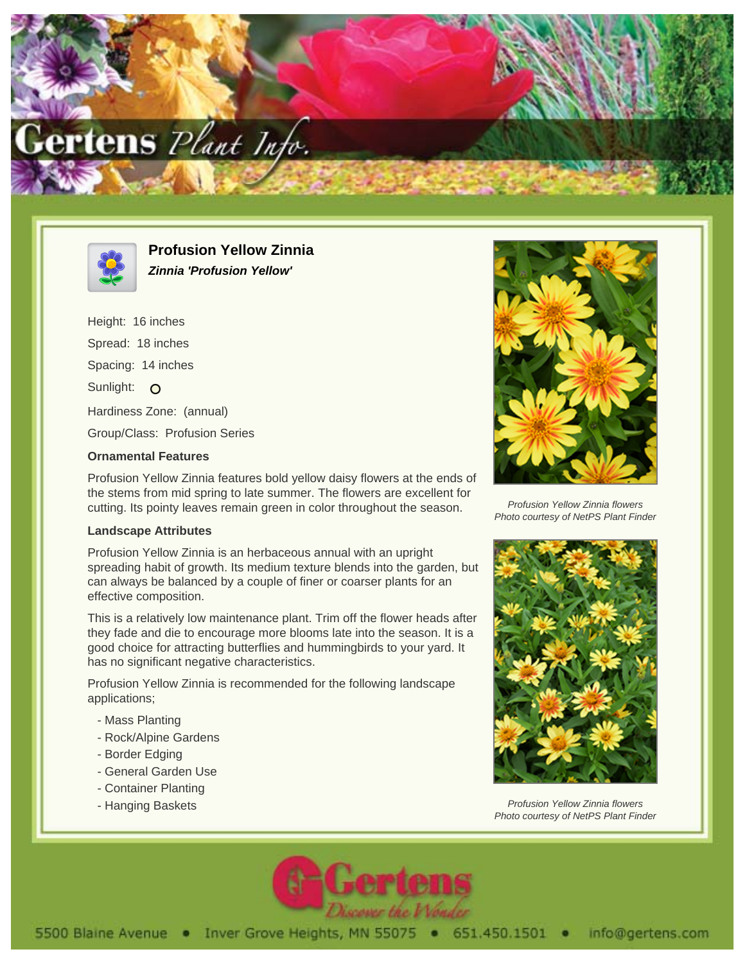



**Profusion Yellow Zinnia Zinnia 'Profusion Yellow'**

Height: 16 inches Spread: 18 inches Spacing: 14 inches Sunlight: O Hardiness Zone: (annual) Group/Class: Profusion Series

## **Ornamental Features**

Profusion Yellow Zinnia features bold yellow daisy flowers at the ends of the stems from mid spring to late summer. The flowers are excellent for cutting. Its pointy leaves remain green in color throughout the season.

## **Landscape Attributes**

Profusion Yellow Zinnia is an herbaceous annual with an upright spreading habit of growth. Its medium texture blends into the garden, but can always be balanced by a couple of finer or coarser plants for an effective composition.

This is a relatively low maintenance plant. Trim off the flower heads after they fade and die to encourage more blooms late into the season. It is a good choice for attracting butterflies and hummingbirds to your yard. It has no significant negative characteristics.

Profusion Yellow Zinnia is recommended for the following landscape applications;

- Mass Planting
- Rock/Alpine Gardens
- Border Edging
- General Garden Use
- Container Planting
- Hanging Baskets



Profusion Yellow Zinnia flowers Photo courtesy of NetPS Plant Finder



Profusion Yellow Zinnia flowers Photo courtesy of NetPS Plant Finder